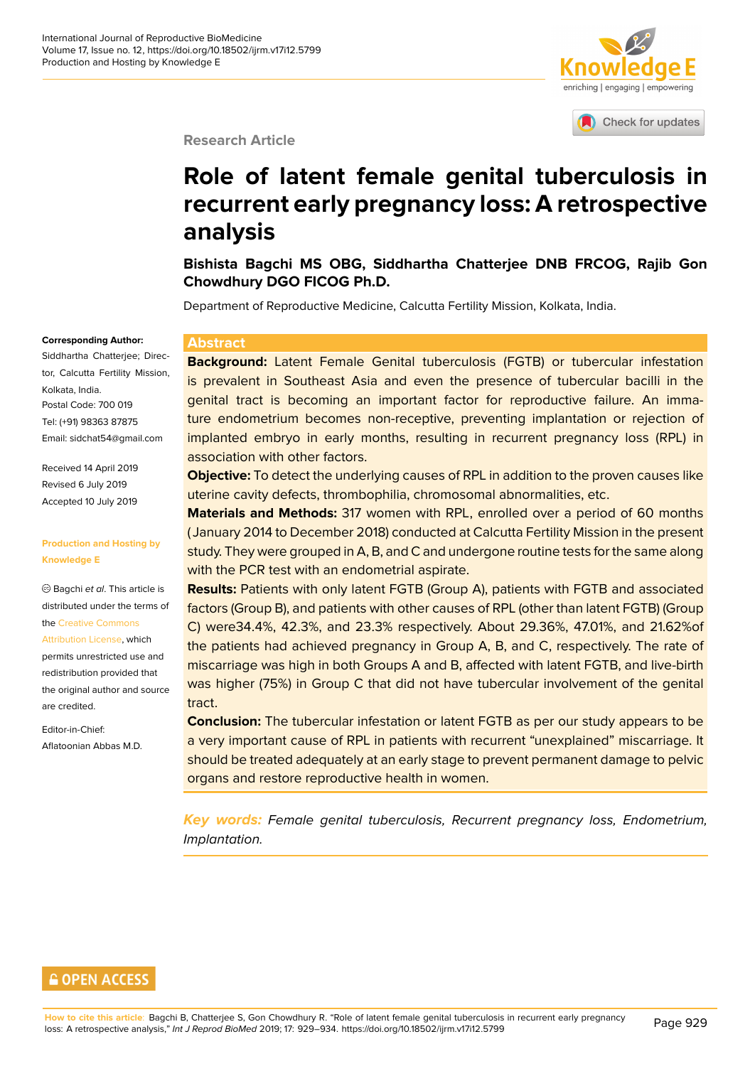# enriching | engaging | empowering

Check for updates

## **Research Article**

# **Role of latent female genital tu[berculosis in](http://crossmark.crossref.org/dialog/?doi=10.18502/ijrm.v17i12.5799&domain=pdf&date_stamp=2018-01-27) recurrent early pregnancy loss: A retrospective analysis**

**Bishista Bagchi MS OBG, Siddhartha Chatterjee DNB FRCOG, Rajib Gon Chowdhury DGO FICOG Ph.D.**

Department of Reproductive Medicine, Calcutta Fertility Mission, Kolkata, India.

### **Abstract**

**Background:** Latent Female Genital tuberculosis (FGTB) or tubercular infestation is prevalent in Southeast Asia and even the presence of tubercular bacilli in the genital tract is becoming an important factor for reproductive failure. An immature endometrium becomes non-receptive, preventing implantation or rejection of implanted embryo in early months, resulting in recurrent pregnancy loss (RPL) in association with other factors.

**Objective:** To detect the underlying causes of RPL in addition to the proven causes like uterine cavity defects, thrombophilia, chromosomal abnormalities, etc.

**Materials and Methods:** 317 women with RPL, enrolled over a period of 60 months ( January 2014 to December 2018) conducted at Calcutta Fertility Mission in the present study. They were grouped in A, B, and C and undergone routine tests for the same along with the PCR test with an endometrial aspirate.

**Results:** Patients with only latent FGTB (Group A), patients with FGTB and associated factors (Group B), and patients with other causes of RPL (other than latent FGTB) (Group C) were34.4%, 42.3%, and 23.3% respectively. About 29.36%, 47.01%, and 21.62%of the patients had achieved pregnancy in Group A, B, and C, respectively. The rate of miscarriage was high in both Groups A and B, affected with latent FGTB, and live-birth was higher (75%) in Group C that did not have tubercular involvement of the genital tract.

**Conclusion:** The tubercular infestation or latent FGTB as per our study appears to be a very important cause of RPL in patients with recurrent "unexplained" miscarriage. It should be treated adequately at an early stage to prevent permanent damage to pelvic organs and restore reproductive health in women.

*Key words: Female genital tuberculosis, Recurrent pregnancy loss, Endometrium, Implantation.*

## **Corresponding Author:** Siddhartha Chatterjee; Director, Calcutta Fertility Mission, Kolkata, India. Postal Code: 700 019 Tel: (+91) 98363 87875 Email: sidchat54@gmail.com

Received 14 April 2019 Revised 6 July 2019 Accep[ted 10 July 2019](mailto:sidchat54@gmail.com)

### **Production and Hosting by Knowledge E**

Bagchi *et al*. This article is distributed under the terms of the Creative Commons Attribution License, which permits unrestricted use and redistribution provided that the [original author and](https://creativecommons.org/licenses/by/4.0/) source [are credited.](https://creativecommons.org/licenses/by/4.0/)

Editor-in-Chief: Aflatoonian Abbas M.D.

## **GOPEN ACCESS**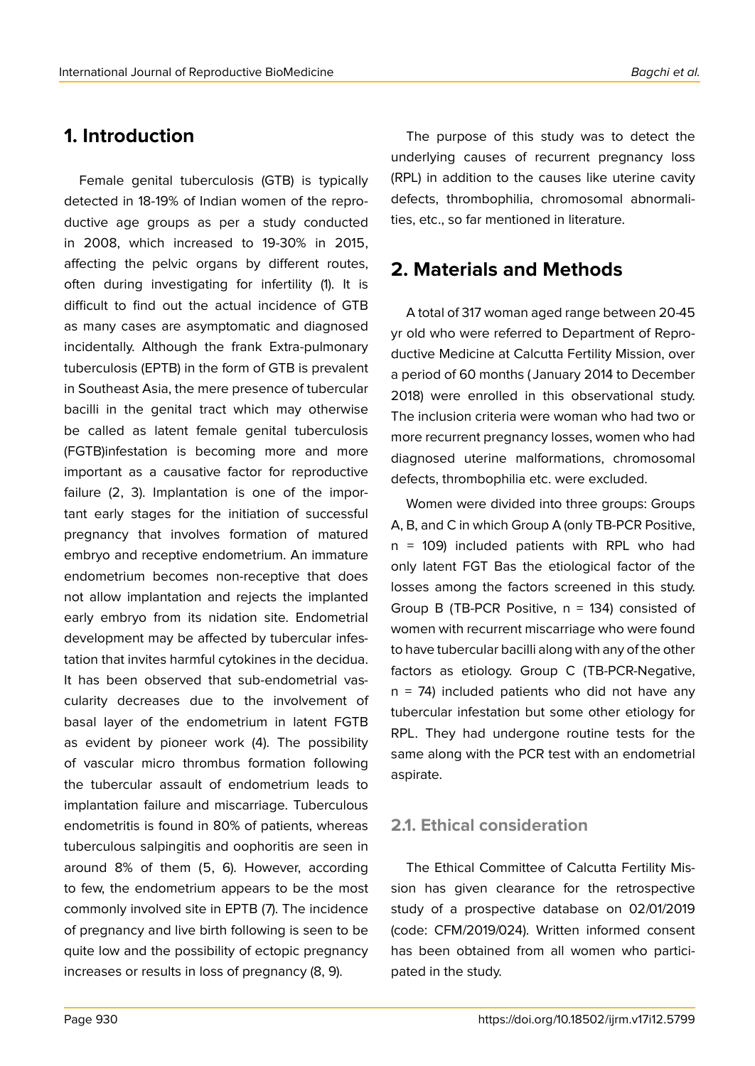# **1. Introduction**

Female genital tuberculosis (GTB) is typically detected in 18-19% of Indian women of the reproductive age groups as per a study conducted in 2008, which increased to 19-30% in 2015, affecting the pelvic organs by different routes, often during investigating for infertility (1). It is difficult to find out the actual incidence of GTB as many cases are asymptomatic and diagnosed incidentally. Although the frank Extra-pulmonary tuberculosis (EPTB) in the form of GTB is prevalent in Southeast Asia, the mere presence of tubercular bacilli in the genital tract which may otherwise be called as latent female genital tuberculosis (FGTB)infestation is becoming more and more important as a causative factor for reproductive failure (2, 3). Implantation is one of the important early stages for the initiation of successful pregnancy that involves formation of matured embryo and receptive endometrium. An immature endometrium becomes non-receptive that does not allow implantation and rejects the implanted early embryo from its nidation site. Endometrial development may be affected by tubercular infestation that invites harmful cytokines in the decidua. It has been observed that sub-endometrial vascularity decreases due to the involvement of basal layer of the endometrium in latent FGTB as evident by pioneer work (4). The possibility of vascular micro thrombus formation following the tubercular assault of endometrium leads to implantation failure and miscarriage. Tuberculous endometritis is found in 80% of patients, whereas tuberculous salpingitis and oophoritis are seen in around 8% of them (5, 6). However, according to few, the endometrium appears to be the most commonly involved site in EPTB (7). The incidence of pregnancy and live birth following is seen to be quite low and the possibility of ectopic pregnancy increases or results in loss of pregnancy (8, 9).

The purpose of this study was to detect the underlying causes of recurrent pregnancy loss (RPL) in addition to the causes like uterine cavity defects, thrombophilia, chromosomal abnormalities, etc., so far mentioned in literature.

# **2. Materials and Methods**

A total of 317 woman aged range between 20-45 yr old who were referred to Department of Reproductive Medicine at Calcutta Fertility Mission, over a period of 60 months ( January 2014 to December 2018) were enrolled in this observational study. The inclusion criteria were woman who had two or more recurrent pregnancy losses, women who had diagnosed uterine malformations, chromosomal defects, thrombophilia etc. were excluded.

Women were divided into three groups: Groups A, B, and C in which Group A (only TB-PCR Positive, n = 109) included patients with RPL who had only latent FGT Bas the etiological factor of the losses among the factors screened in this study. Group B (TB-PCR Positive,  $n = 134$ ) consisted of women with recurrent miscarriage who were found to have tubercular bacilli along with any of the other factors as etiology. Group C (TB-PCR-Negative,  $n = 74$ ) included patients who did not have any tubercular infestation but some other etiology for RPL. They had undergone routine tests for the same along with the PCR test with an endometrial aspirate.

## **2.1. Ethical consideration**

The Ethical Committee of Calcutta Fertility Mission has given clearance for the retrospective study of a prospective database on 02/01/2019 (code: CFM/2019/024). Written informed consent has been obtained from all women who participated in the study.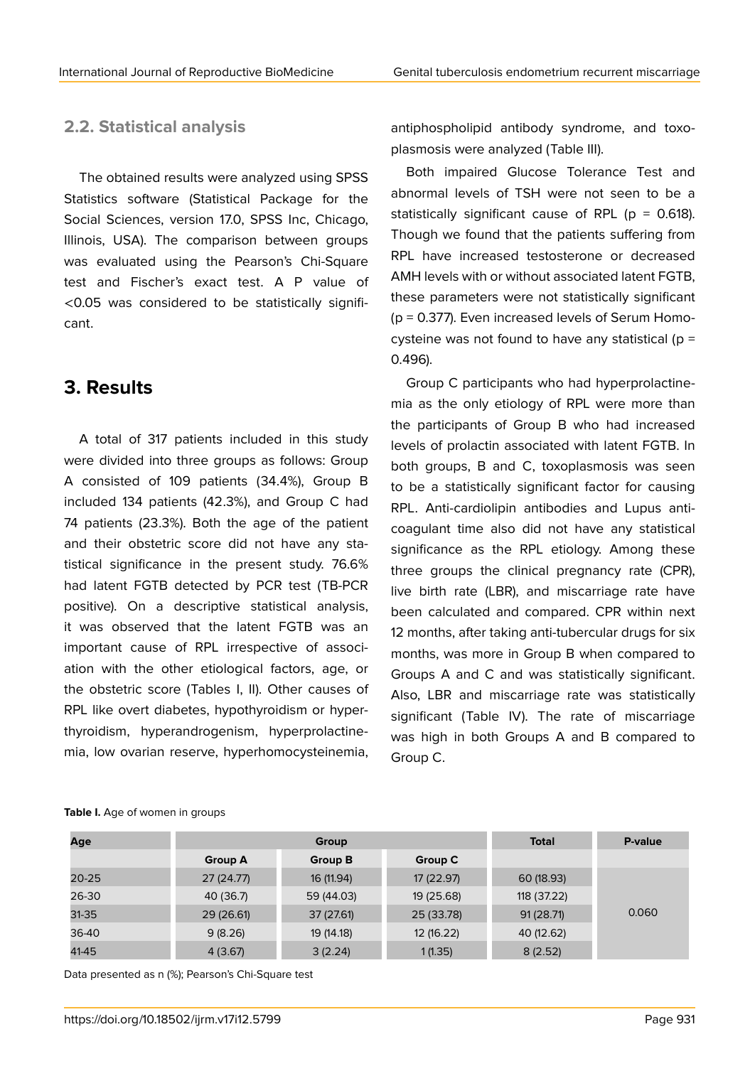## **2.2. Statistical analysis**

The obtained results were analyzed using SPSS Statistics software (Statistical Package for the Social Sciences, version 17.0, SPSS Inc, Chicago, Illinois, USA). The comparison between groups was evaluated using the Pearson's Chi-Square test and Fischer's exact test. A P value of <0.05 was considered to be statistically significant.

## **3. Results**

A total of 317 patients included in this study were divided into three groups as follows: Group A consisted of 109 patients (34.4%), Group B included 134 patients (42.3%), and Group C had 74 patients (23.3%). Both the age of the patient and their obstetric score did not have any statistical significance in the present study. 76.6% had latent FGTB detected by PCR test (TB-PCR positive). On a descriptive statistical analysis, it was observed that the latent FGTB was an important cause of RPL irrespective of association with the other etiological factors, age, or the obstetric score (Tables I, II). Other causes of RPL like overt diabetes, hypothyroidism or hyperthyroidism, hyperandrogenism, hyperprolactinemia, low ovarian reserve, hyperhomocysteinemia,

antiphospholipid antibody syndrome, and toxoplasmosis were analyzed (Table III).

Both impaired Glucose Tolerance Test and abnormal levels of TSH were not seen to be a statistically significant cause of RPL ( $p = 0.618$ ). Though we found that the patients suffering from RPL have increased testosterone or decreased AMH levels with or without associated latent FGTB, these parameters were not statistically significant (p = 0.377). Even increased levels of Serum Homocysteine was not found to have any statistical ( $p =$ 0.496).

Group C participants who had hyperprolactinemia as the only etiology of RPL were more than the participants of Group B who had increased levels of prolactin associated with latent FGTB. In both groups, B and C, toxoplasmosis was seen to be a statistically significant factor for causing RPL. Anti-cardiolipin antibodies and Lupus anticoagulant time also did not have any statistical significance as the RPL etiology. Among these three groups the clinical pregnancy rate (CPR), live birth rate (LBR), and miscarriage rate have been calculated and compared. CPR within next 12 months, after taking anti-tubercular drugs for six months, was more in Group B when compared to Groups A and C and was statistically significant. Also, LBR and miscarriage rate was statistically significant (Table IV). The rate of miscarriage was high in both Groups A and B compared to Group C.

| Age       | Group          |            |            | <b>Total</b> | P-value |
|-----------|----------------|------------|------------|--------------|---------|
|           | <b>Group A</b> | Group B    | Group C    |              |         |
| $20 - 25$ | 27 (24.77)     | 16 (11.94) | 17 (22.97) | 60(18.93)    | 0.060   |
| 26-30     | 40 (36.7)      | 59 (44.03) | 19 (25.68) | 118 (37.22)  |         |
| 31-35     | 29 (26.61)     | 37 (27.61) | 25 (33.78) | 91(28.71)    |         |
| 36-40     | 9(8.26)        | 19 (14.18) | 12 (16.22) | 40 (12.62)   |         |
| 41-45     | 4(3.67)        | 3(2.24)    | 1(1.35)    | 8(2.52)      |         |

#### **Table I.** Age of women in groups

Data presented as n (%); Pearson's Chi-Square test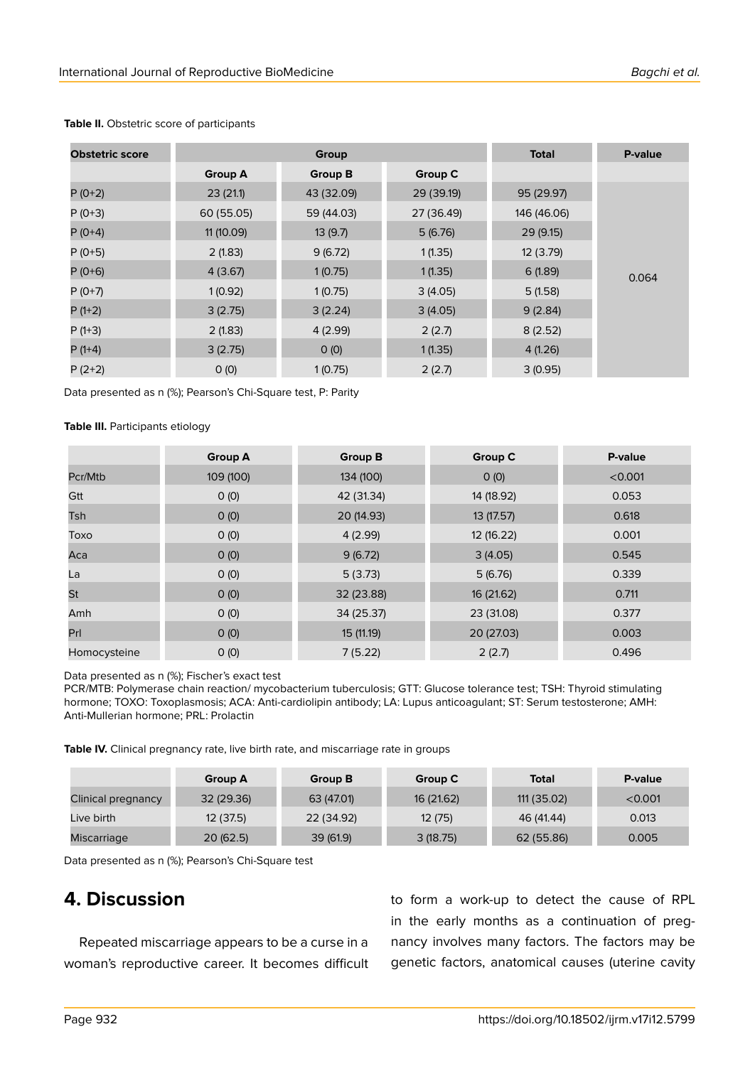| <b>Obstetric score</b> |                | Group          |            | <b>Total</b> | P-value |
|------------------------|----------------|----------------|------------|--------------|---------|
|                        | <b>Group A</b> | <b>Group B</b> | Group C    |              |         |
| $P(0+2)$               | 23(21.1)       | 43 (32.09)     | 29 (39.19) | 95 (29.97)   | 0.064   |
| $P(0+3)$               | 60 (55.05)     | 59 (44.03)     | 27 (36.49) | 146 (46.06)  |         |
| $P(0+4)$               | 11 (10.09)     | 13(9.7)        | 5(6.76)    | 29(9.15)     |         |
| $P(0+5)$               | 2(1.83)        | 9(6.72)        | 1(1.35)    | 12(3.79)     |         |
| $P(0+6)$               | 4(3.67)        | 1(0.75)        | 1(1.35)    | 6(1.89)      |         |
| $P(0+7)$               | 1(0.92)        | 1(0.75)        | 3(4.05)    | 5(1.58)      |         |
| $P(1+2)$               | 3(2.75)        | 3(2.24)        | 3(4.05)    | 9(2.84)      |         |
| $P(1+3)$               | 2(1.83)        | 4(2.99)        | 2(2.7)     | 8(2.52)      |         |
| $P(1+4)$               | 3(2.75)        | O(0)           | 1(1.35)    | 4(1.26)      |         |
| $P(2+2)$               | O(0)           | 1(0.75)        | 2(2.7)     | 3(0.95)      |         |

#### **Table II.** Obstetric score of participants

Data presented as n (%); Pearson's Chi-Square test, P: Parity

### **Table III.** Participants etiology

|                 | <b>Group A</b> | <b>Group B</b> | <b>Group C</b> | P-value |
|-----------------|----------------|----------------|----------------|---------|
| Pcr/Mtb         | 109 (100)      | 134 (100)      | O(0)           | < 0.001 |
| Gtt             | O(0)           | 42 (31.34)     | 14 (18.92)     | 0.053   |
| Tsh             | O(0)           | 20 (14.93)     | 13 (17.57)     | 0.618   |
| Toxo            | O(0)           | 4(2.99)        | 12 (16.22)     | 0.001   |
| Aca             | O(0)           | 9(6.72)        | 3(4.05)        | 0.545   |
| La              | O(0)           | 5(3.73)        | 5(6.76)        | 0.339   |
| St              | O(0)           | 32 (23.88)     | 16 (21.62)     | 0.711   |
| Amh             | O(0)           | 34 (25.37)     | 23 (31.08)     | 0.377   |
| Pr <sub>l</sub> | O(0)           | 15 (11.19)     | 20 (27.03)     | 0.003   |
| Homocysteine    | O(0)           | 7(5.22)        | 2(2.7)         | 0.496   |

Data presented as n (%); Fischer's exact test

PCR/MTB: Polymerase chain reaction/ mycobacterium tuberculosis; GTT: Glucose tolerance test; TSH: Thyroid stimulating hormone; TOXO: Toxoplasmosis; ACA: Anti-cardiolipin antibody; LA: Lupus anticoagulant; ST: Serum testosterone; AMH: Anti-Mullerian hormone; PRL: Prolactin

**Table IV.** Clinical pregnancy rate, live birth rate, and miscarriage rate in groups

|                    | <b>Group A</b> | Group B    | Group C    | <b>Total</b> | P-value |
|--------------------|----------------|------------|------------|--------------|---------|
| Clinical pregnancy | 32 (29.36)     | 63 (47.01) | 16 (21.62) | 111 (35.02)  | < 0.001 |
| Live birth         | 12(37.5)       | 22 (34.92) | 12(75)     | 46 (41.44)   | 0.013   |
| Miscarriage        | 20(62.5)       | 39 (61.9)  | 3(18.75)   | 62 (55.86)   | 0.005   |

Data presented as n (%); Pearson's Chi-Square test

# **4. Discussion**

Repeated miscarriage appears to be a curse in a woman's reproductive career. It becomes difficult to form a work-up to detect the cause of RPL in the early months as a continuation of pregnancy involves many factors. The factors may be genetic factors, anatomical causes (uterine cavity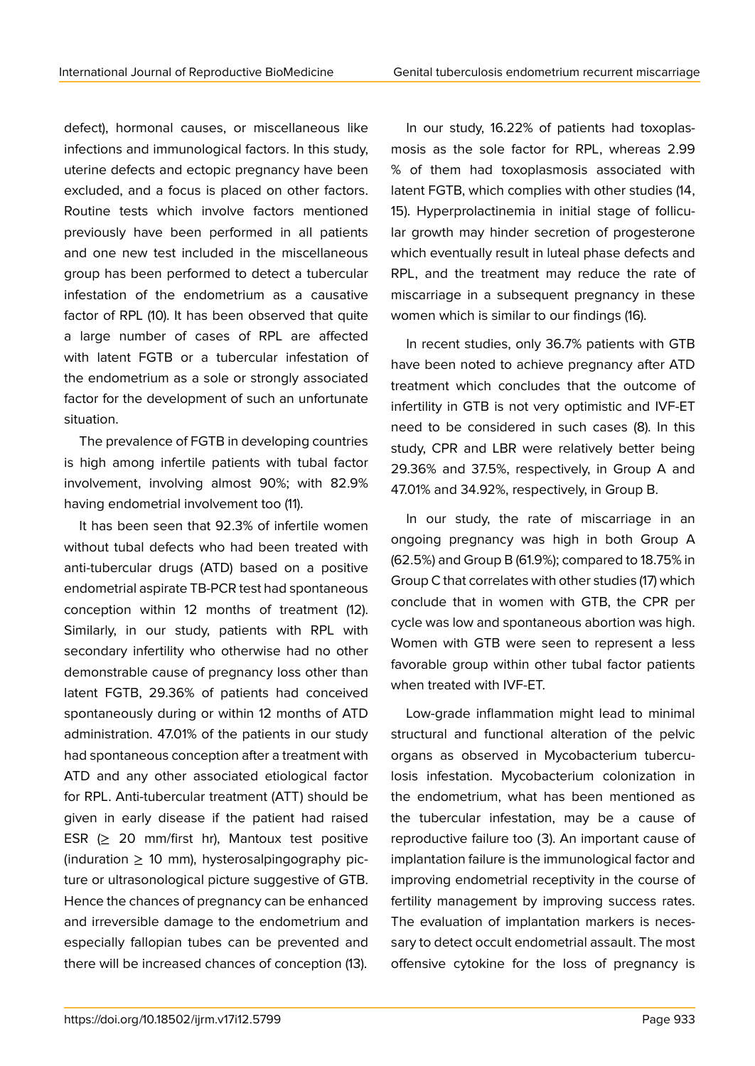defect), hormonal causes, or miscellaneous like infections and immunological factors. In this study, uterine defects and ectopic pregnancy have been excluded, and a focus is placed on other factors. Routine tests which involve factors mentioned previously have been performed in all patients and one new test included in the miscellaneous group has been performed to detect a tubercular infestation of the endometrium as a causative factor of RPL (10). It has been observed that quite a large number of cases of RPL are affected with latent FGTB or a tubercular infestation of the endometrium as a sole or strongly associated factor for the development of such an unfortunate situation.

The prevalence of FGTB in developing countries is high among infertile patients with tubal factor involvement, involving almost 90%; with 82.9% having endometrial involvement too (11).

It has been seen that 92.3% of infertile women without tubal defects who had been treated with anti-tubercular drugs (ATD) based on a positive endometrial aspirate TB-PCR test had spontaneous conception within 12 months of treatment (12). Similarly, in our study, patients with RPL with secondary infertility who otherwise had no other demonstrable cause of pregnancy loss other than latent FGTB, 29.36% of patients had conceived spontaneously during or within 12 months of ATD administration. 47.01% of the patients in our study had spontaneous conception after a treatment with ATD and any other associated etiological factor for RPL. Anti-tubercular treatment (ATT) should be given in early disease if the patient had raised ESR (≥ 20 mm/first hr), Mantoux test positive (induration  $\geq$  10 mm), hysterosalpingography picture or ultrasonological picture suggestive of GTB. Hence the chances of pregnancy can be enhanced and irreversible damage to the endometrium and especially fallopian tubes can be prevented and there will be increased chances of conception (13).

In our study, 16.22% of patients had toxoplasmosis as the sole factor for RPL, whereas 2.99 % of them had toxoplasmosis associated with latent FGTB, which complies with other studies (14, 15). Hyperprolactinemia in initial stage of follicular growth may hinder secretion of progesterone which eventually result in luteal phase defects and RPL, and the treatment may reduce the rate of miscarriage in a subsequent pregnancy in these women which is similar to our findings (16).

In recent studies, only 36.7% patients with GTB have been noted to achieve pregnancy after ATD treatment which concludes that the outcome of infertility in GTB is not very optimistic and IVF-ET need to be considered in such cases (8). In this study, CPR and LBR were relatively better being 29.36% and 37.5%, respectively, in Group A and 47.01% and 34.92%, respectively, in Group B.

In our study, the rate of miscarriage in an ongoing pregnancy was high in both Group A (62.5%) and Group B (61.9%); compared to 18.75% in Group C that correlates with other studies (17) which conclude that in women with GTB, the CPR per cycle was low and spontaneous abortion was high. Women with GTB were seen to represent a less favorable group within other tubal factor patients when treated with IVF-ET.

Low-grade inflammation might lead to minimal structural and functional alteration of the pelvic organs as observed in Mycobacterium tuberculosis infestation. Mycobacterium colonization in the endometrium, what has been mentioned as the tubercular infestation, may be a cause of reproductive failure too (3). An important cause of implantation failure is the immunological factor and improving endometrial receptivity in the course of fertility management by improving success rates. The evaluation of implantation markers is necessary to detect occult endometrial assault. The most offensive cytokine for the loss of pregnancy is